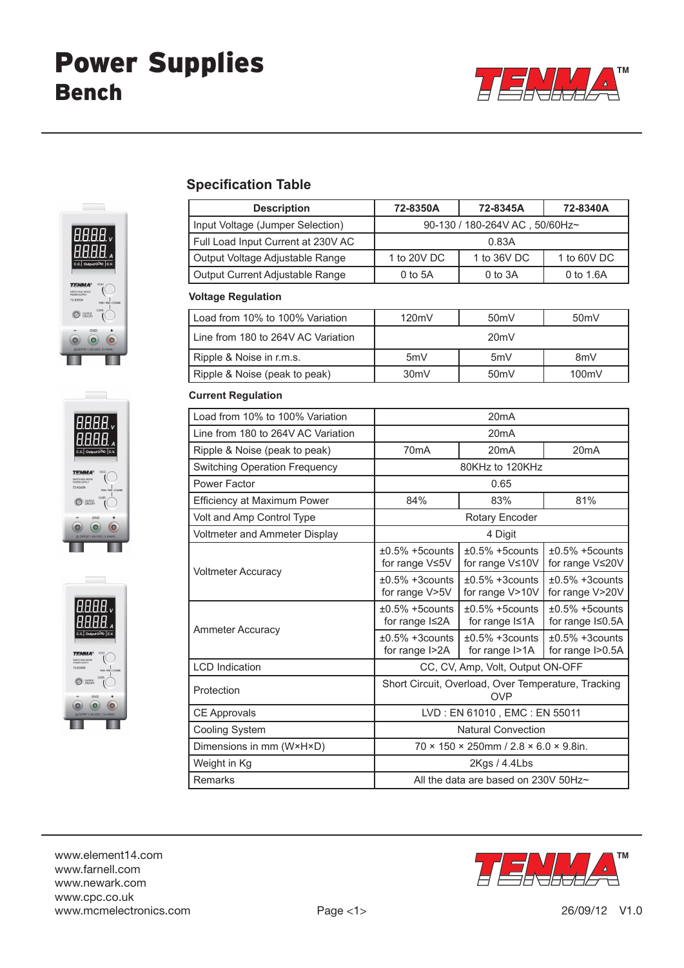







## **Specification Table**

| <b>Description</b>                   | 72-8350A                                                          | 72-8345A                                     | 72-8340A                               |
|--------------------------------------|-------------------------------------------------------------------|----------------------------------------------|----------------------------------------|
| Input Voltage (Jumper Selection)     | 90-130 / 180-264V AC, 50/60Hz~                                    |                                              |                                        |
| Full Load Input Current at 230V AC   | 0.83A                                                             |                                              |                                        |
| Output Voltage Adjustable Range      | 1 to 20V DC                                                       | 1 to 36V DC                                  | 1 to 60V DC                            |
| Output Current Adjustable Range      | 0 to 5A                                                           | 0 to 3A                                      | 0 to 1.6A                              |
| <b>Voltage Regulation</b>            |                                                                   |                                              |                                        |
| Load from 10% to 100% Variation      | 120mV                                                             | 50 <sub>m</sub> V                            | 50 <sub>m</sub> V                      |
| Line from 180 to 264V AC Variation   | 20mV                                                              |                                              |                                        |
| Ripple & Noise in r.m.s.             | 5mV                                                               | 5mV                                          | 8mV                                    |
| Ripple & Noise (peak to peak)        | 30mV                                                              | 50mV                                         | 100mV                                  |
| <b>Current Regulation</b>            |                                                                   |                                              |                                        |
| Load from 10% to 100% Variation      | 20 <sub>m</sub> A                                                 |                                              |                                        |
| Line from 180 to 264V AC Variation   | 20 <sub>m</sub> A                                                 |                                              |                                        |
| Ripple & Noise (peak to peak)        | 70 <sub>m</sub> A                                                 | 20 <sub>m</sub> A                            | 20 <sub>m</sub> A                      |
| <b>Switching Operation Frequency</b> | 80KHz to 120KHz                                                   |                                              |                                        |
| Power Factor                         | 0.65                                                              |                                              |                                        |
| Efficiency at Maximum Power          | 84%                                                               | 83%                                          | 81%                                    |
| Volt and Amp Control Type            | Rotary Encoder                                                    |                                              |                                        |
| Voltmeter and Ammeter Display        | 4 Digit                                                           |                                              |                                        |
| <b>Voltmeter Accuracy</b>            | $\pm 0.5\%$ +5counts<br>for range $V \leq 5V$                     | $±0.5\% +5$ counts<br>for range $V \leq 10V$ | $±0.5\% +5$ counts<br>for range V≤20V  |
|                                      | $\pm 0.5\%$ +3counts<br>for range V>5V                            | $±0.5\% +3$ counts<br>for range V>10V        | $±0.5\% +3$ counts<br>for range V>20V  |
| <b>Ammeter Accuracy</b>              | $\pm 0.5\%$ +5counts<br>for range $Is2A$                          | $±0.5\% +5$ counts<br>for range $I \leq 1$ A | $±0.5\% +5$ counts<br>for range I≤0.5A |
|                                      | $±0.5\% +3$ counts<br>for range I>2A                              | $±0.5\% +3$ counts<br>for range I>1A         | $±0.5\% +3$ counts<br>for range I>0.5A |
| <b>LCD</b> Indication                | CC, CV, Amp, Volt, Output ON-OFF                                  |                                              |                                        |
| Protection                           | Short Circuit, Overload, Over Temperature, Tracking<br><b>OVP</b> |                                              |                                        |
| <b>CE Approvals</b>                  | LVD: EN 61010, EMC: EN 55011                                      |                                              |                                        |
| <b>Cooling System</b>                | <b>Natural Convection</b>                                         |                                              |                                        |
| Dimensions in mm (W×H×D)             | $70 \times 150 \times 250$ mm / 2.8 $\times$ 6.0 $\times$ 9.8in.  |                                              |                                        |
| Weight in Kg                         | 2Kgs / 4.4Lbs                                                     |                                              |                                        |
| Remarks                              | All the data are based on 230V 50Hz~                              |                                              |                                        |